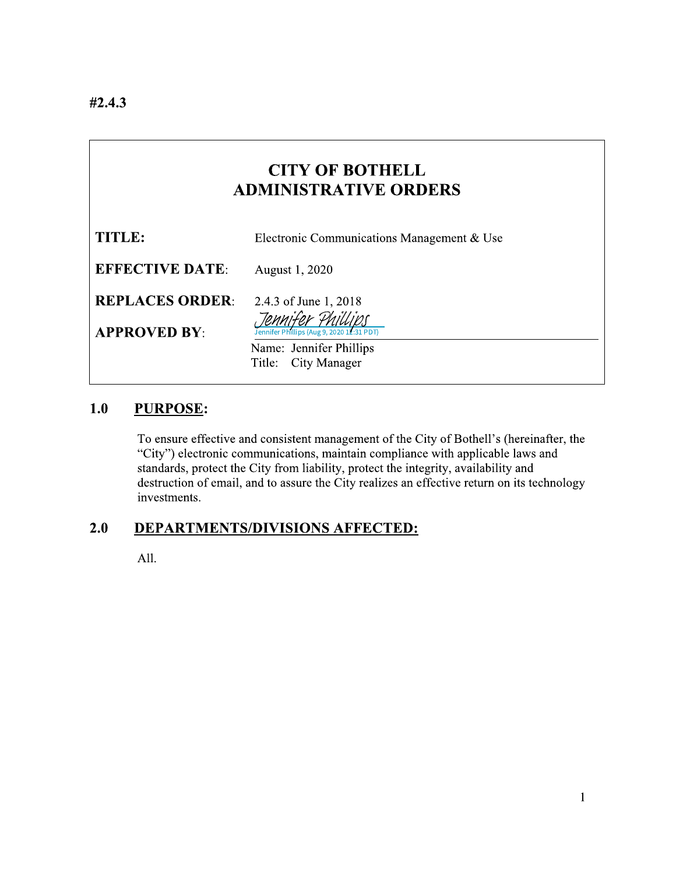# **CITY OF BOTHELL ADMINISTRATIVE ORDERS**

| TITLE:                 | Electronic Communications Management & Use |
|------------------------|--------------------------------------------|
| <b>EFFECTIVE DATE:</b> | August 1, 2020                             |
| <b>REPLACES ORDER:</b> | 2.4.3 of June 1, 2018                      |
| <b>APPROVED BY:</b>    | Jennifer Phillips (Aug 9, 2020 12:31 PDT)  |
|                        | Name: Jennifer Phillips                    |
|                        | Title: City Manager                        |

#### $1.0$ **PURPOSE:**

To ensure effective and consistent management of the City of Bothell's (hereinafter, the "City") electronic communications, maintain compliance with applicable laws and standards, protect the City from liability, protect the integrity, availability and destruction of email, and to assure the City realizes an effective return on its technology investments.

#### $2.0$ **DEPARTMENTS/DIVISIONS AFFECTED:**

All.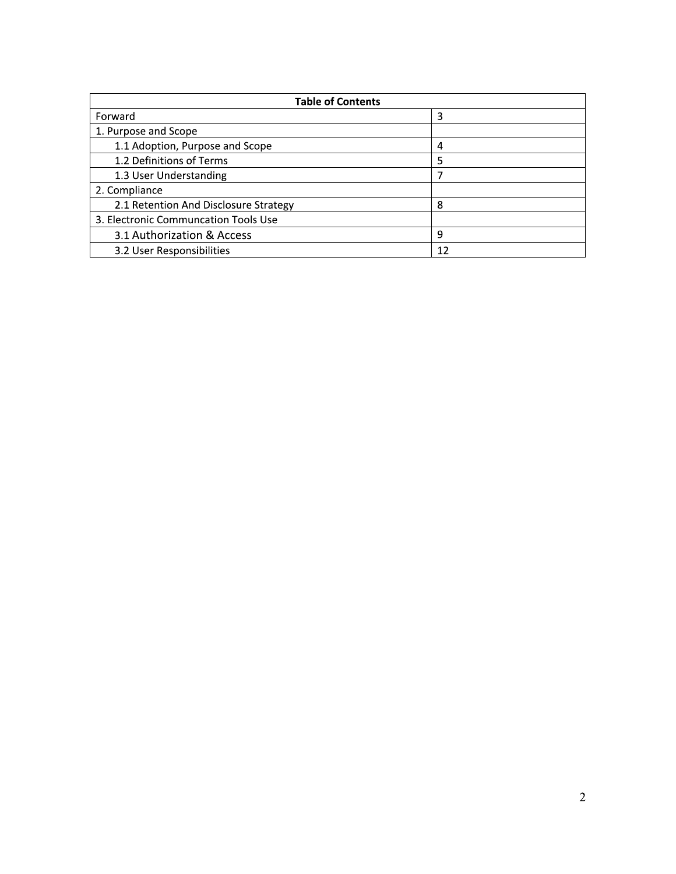| <b>Table of Contents</b>              |    |  |
|---------------------------------------|----|--|
| Forward                               | 3  |  |
| 1. Purpose and Scope                  |    |  |
| 1.1 Adoption, Purpose and Scope       | 4  |  |
| 1.2 Definitions of Terms              | 5  |  |
| 1.3 User Understanding                |    |  |
| 2. Compliance                         |    |  |
| 2.1 Retention And Disclosure Strategy | 8  |  |
| 3. Electronic Communcation Tools Use  |    |  |
| 3.1 Authorization & Access            | 9  |  |
| 3.2 User Responsibilities             | 12 |  |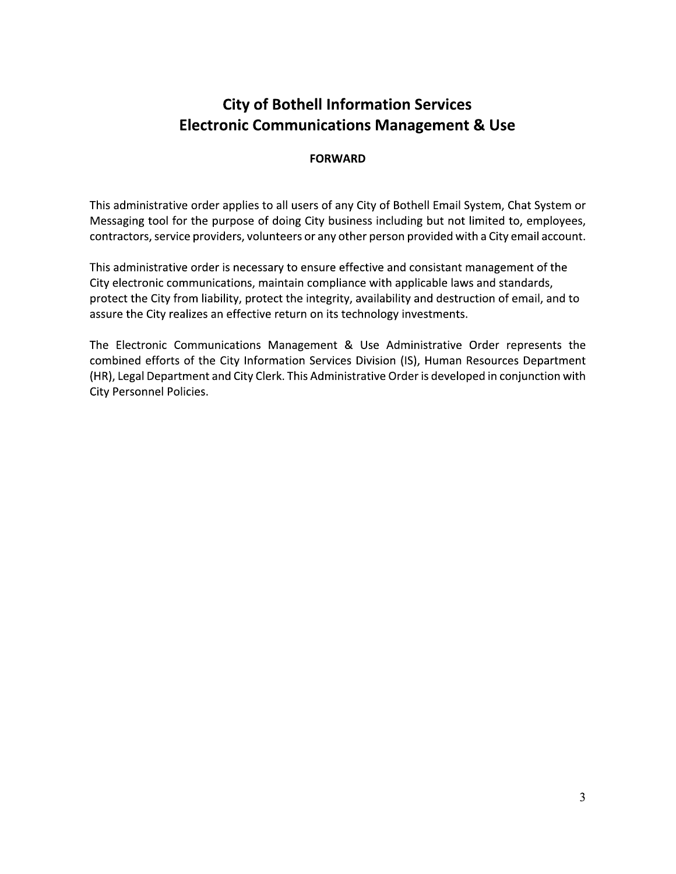# **City of Bothell Information Services Electronic Communications Management & Use**

# **FORWARD**

This administrative order applies to all users of any City of Bothell Email System, Chat System or Messaging tool for the purpose of doing City business including but not limited to, employees, contractors, service providers, volunteers or any other person provided with a City email account.

This administrative order is necessary to ensure effective and consistant management of the City electronic communications, maintain compliance with applicable laws and standards, protect the City from liability, protect the integrity, availability and destruction of email, and to assure the City realizes an effective return on its technology investments.

The Electronic Communications Management & Use Administrative Order represents the combined efforts of the City Information Services Division (IS), Human Resources Department (HR), Legal Department and City Clerk. This Administrative Order is developed in conjunction with City Personnel Policies.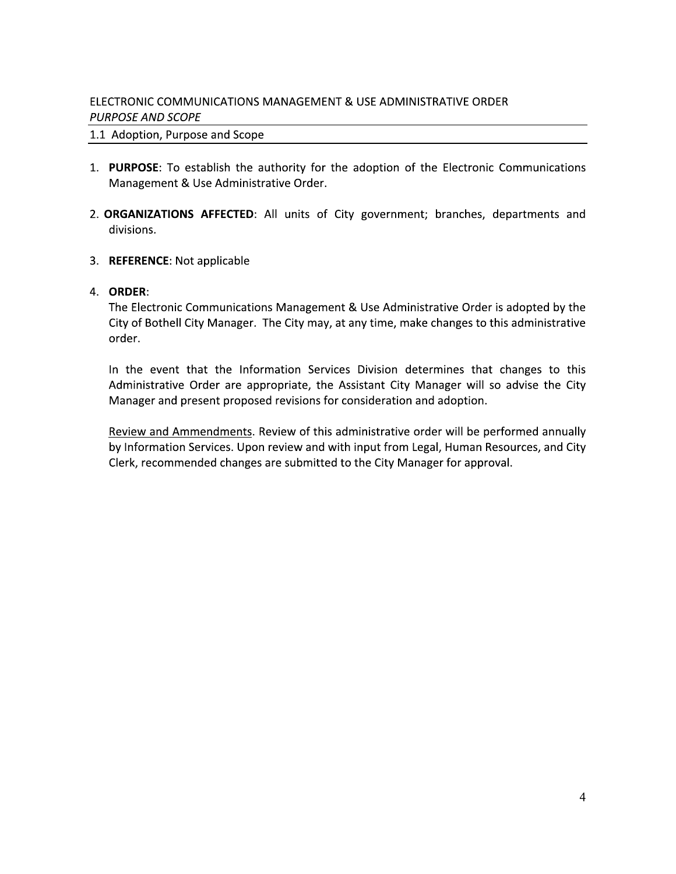# ELECTRONIC COMMUNICATIONS MANAGEMENT & USE ADMINISTRATIVE ORDER **PURPOSE AND SCOPE**

# 1.1 Adoption, Purpose and Scope

- 1. PURPOSE: To establish the authority for the adoption of the Electronic Communications Management & Use Administrative Order.
- 2. ORGANIZATIONS AFFECTED: All units of City government; branches, departments and divisions.
- 3. REFERENCE: Not applicable
- 4. ORDER:

The Electronic Communications Management & Use Administrative Order is adopted by the City of Bothell City Manager. The City may, at any time, make changes to this administrative order.

In the event that the Information Services Division determines that changes to this Administrative Order are appropriate, the Assistant City Manager will so advise the City Manager and present proposed revisions for consideration and adoption.

Review and Ammendments. Review of this administrative order will be performed annually by Information Services. Upon review and with input from Legal, Human Resources, and City Clerk, recommended changes are submitted to the City Manager for approval.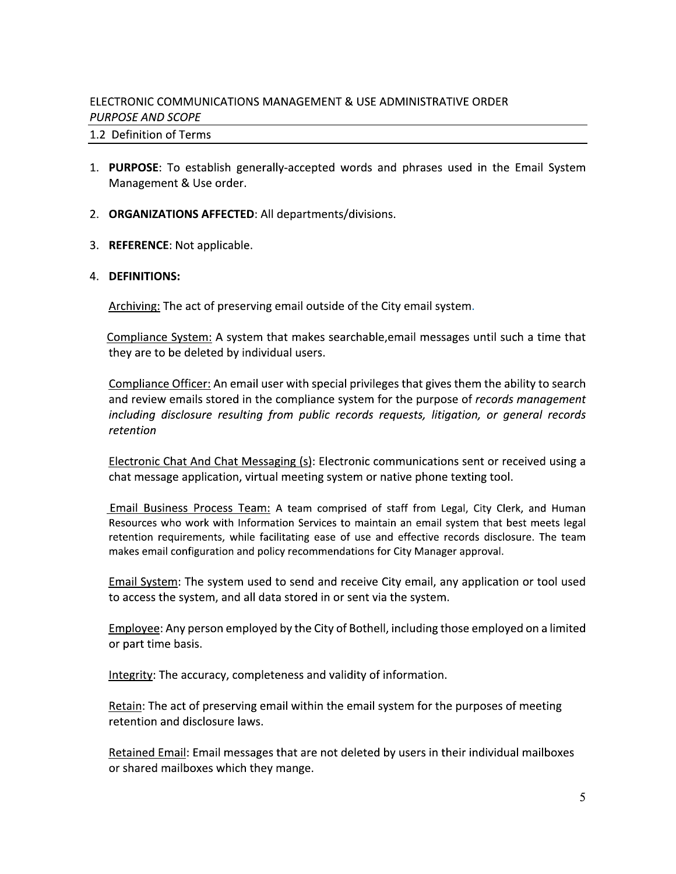# ELECTRONIC COMMUNICATIONS MANAGEMENT & USE ADMINISTRATIVE ORDER **PURPOSE AND SCOPE**

# 1.2 Definition of Terms

- 1. PURPOSE: To establish generally-accepted words and phrases used in the Email System Management & Use order.
- 2. ORGANIZATIONS AFFECTED: All departments/divisions.
- 3. REFERENCE: Not applicable.

# 4. DEFINITIONS:

Archiving: The act of preserving email outside of the City email system.

Compliance System: A system that makes searchable, email messages until such a time that they are to be deleted by individual users.

Compliance Officer: An email user with special privileges that gives them the ability to search and review emails stored in the compliance system for the purpose of records management including disclosure resulting from public records requests, litigation, or general records retention

Electronic Chat And Chat Messaging (s): Electronic communications sent or received using a chat message application, virtual meeting system or native phone texting tool.

Email Business Process Team: A team comprised of staff from Legal, City Clerk, and Human Resources who work with Information Services to maintain an email system that best meets legal retention requirements, while facilitating ease of use and effective records disclosure. The team makes email configuration and policy recommendations for City Manager approval.

Email System: The system used to send and receive City email, any application or tool used to access the system, and all data stored in or sent via the system.

Employee: Any person employed by the City of Bothell, including those employed on a limited or part time basis.

Integrity: The accuracy, completeness and validity of information.

Retain: The act of preserving email within the email system for the purposes of meeting retention and disclosure laws.

Retained Email: Email messages that are not deleted by users in their individual mailboxes or shared mailboxes which they mange.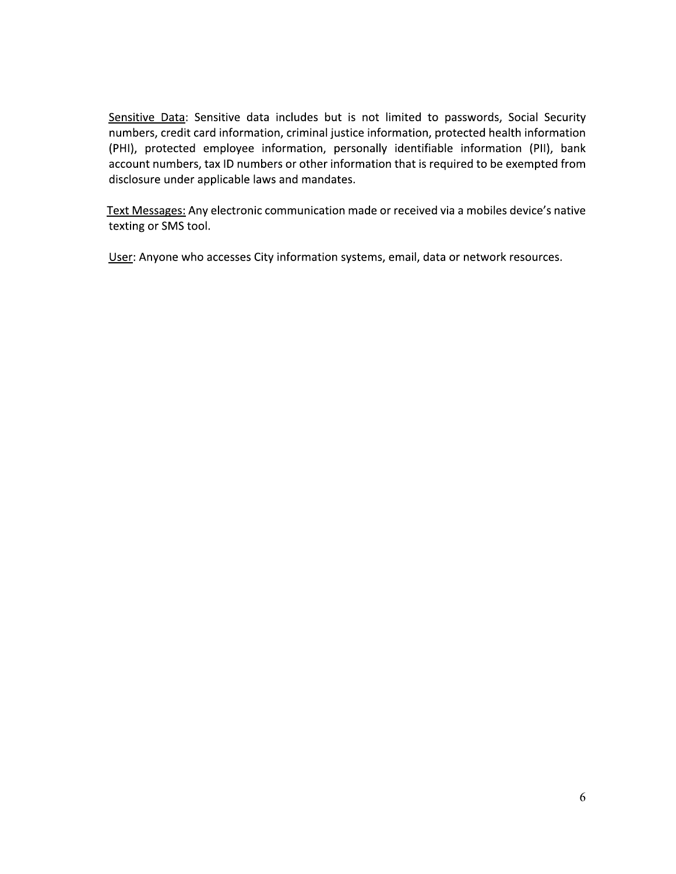Sensitive Data: Sensitive data includes but is not limited to passwords, Social Security numbers, credit card information, criminal justice information, protected health information (PHI), protected employee information, personally identifiable information (PII), bank account numbers, tax ID numbers or other information that is required to be exempted from disclosure under applicable laws and mandates.

Text Messages: Any electronic communication made or received via a mobiles device's native texting or SMS tool.

User: Anyone who accesses City information systems, email, data or network resources.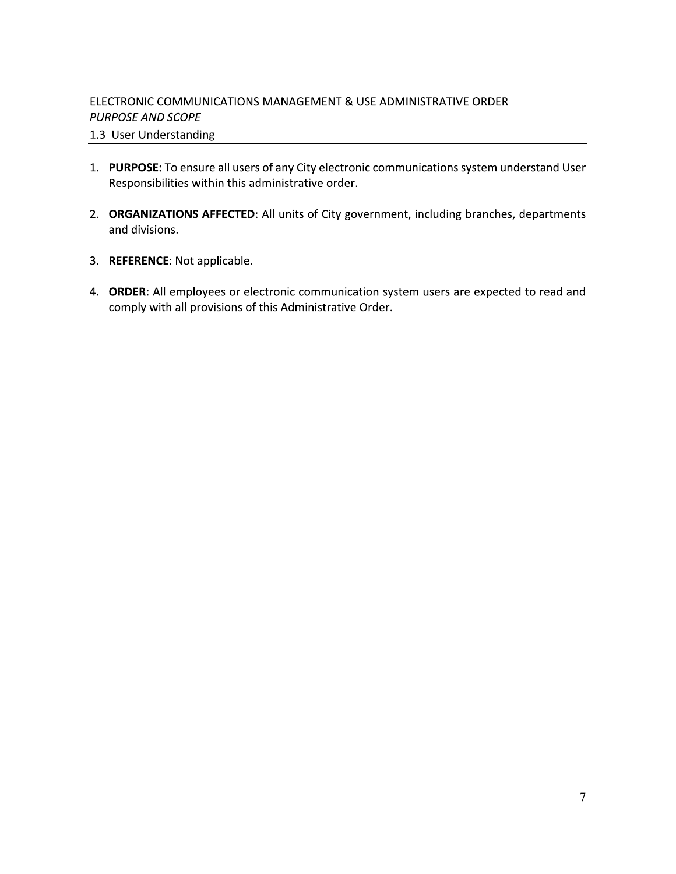# ELECTRONIC COMMUNICATIONS MANAGEMENT & USE ADMINISTRATIVE ORDER **PURPOSE AND SCOPE**

# 1.3 User Understanding

- 1. PURPOSE: To ensure all users of any City electronic communications system understand User Responsibilities within this administrative order.
- 2. ORGANIZATIONS AFFECTED: All units of City government, including branches, departments and divisions.
- 3. REFERENCE: Not applicable.
- 4. ORDER: All employees or electronic communication system users are expected to read and comply with all provisions of this Administrative Order.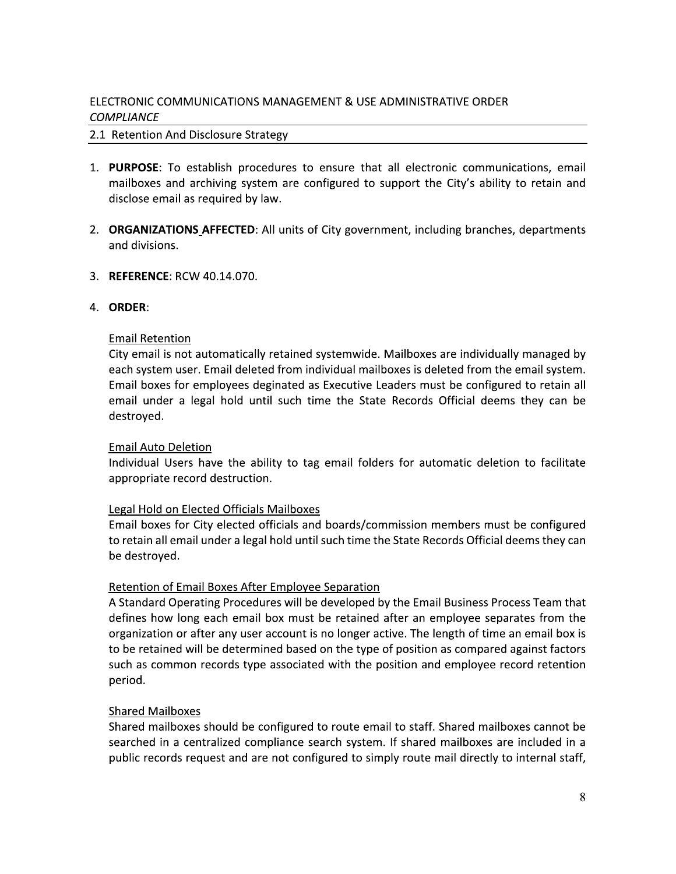# ELECTRONIC COMMUNICATIONS MANAGEMENT & USE ADMINISTRATIVE ORDER **COMPLIANCE**

# 2.1 Retention And Disclosure Strategy

- 1. PURPOSE: To establish procedures to ensure that all electronic communications, email mailboxes and archiving system are configured to support the City's ability to retain and disclose email as required by law.
- 2. ORGANIZATIONS AFFECTED: All units of City government, including branches, departments and divisions.
- 3. REFERENCE: RCW 40.14.070.

# 4. ORDER:

# **Email Retention**

City email is not automatically retained systemwide. Mailboxes are individually managed by each system user. Email deleted from individual mailboxes is deleted from the email system. Email boxes for employees deginated as Executive Leaders must be configured to retain all email under a legal hold until such time the State Records Official deems they can be destroyed.

### **Email Auto Deletion**

Individual Users have the ability to tag email folders for automatic deletion to facilitate appropriate record destruction.

# Legal Hold on Elected Officials Mailboxes

Email boxes for City elected officials and boards/commission members must be configured to retain all email under a legal hold until such time the State Records Official deems they can be destroyed.

# **Retention of Email Boxes After Employee Separation**

A Standard Operating Procedures will be developed by the Email Business Process Team that defines how long each email box must be retained after an employee separates from the organization or after any user account is no longer active. The length of time an email box is to be retained will be determined based on the type of position as compared against factors such as common records type associated with the position and employee record retention period.

# **Shared Mailboxes**

Shared mailboxes should be configured to route email to staff. Shared mailboxes cannot be searched in a centralized compliance search system. If shared mailboxes are included in a public records request and are not configured to simply route mail directly to internal staff,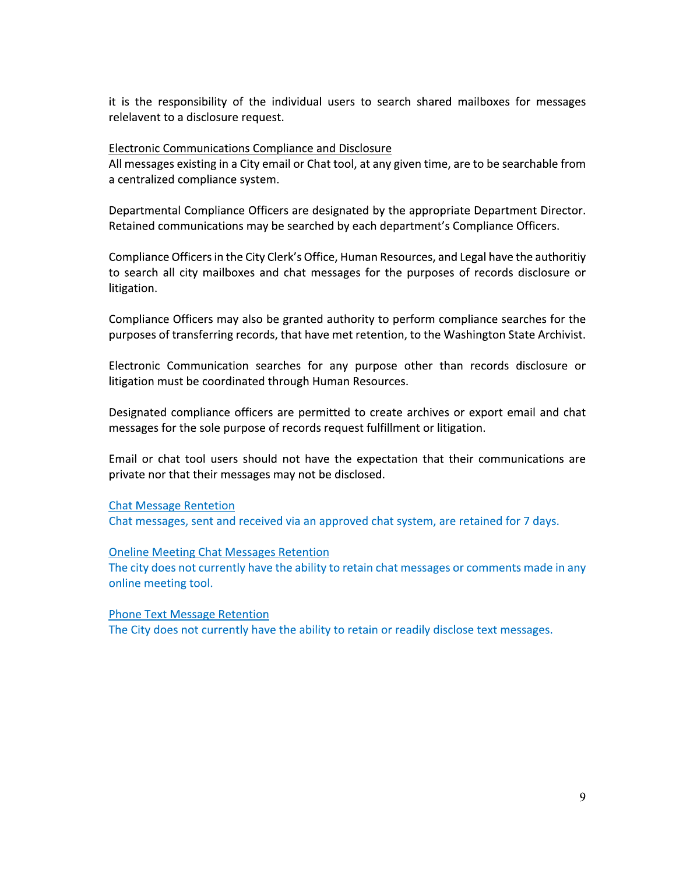it is the responsibility of the individual users to search shared mailboxes for messages relelavent to a disclosure request.

### Electronic Communications Compliance and Disclosure

All messages existing in a City email or Chat tool, at any given time, are to be searchable from a centralized compliance system.

Departmental Compliance Officers are designated by the appropriate Department Director. Retained communications may be searched by each department's Compliance Officers.

Compliance Officers in the City Clerk's Office, Human Resources, and Legal have the authoritiy to search all city mailboxes and chat messages for the purposes of records disclosure or litigation.

Compliance Officers may also be granted authority to perform compliance searches for the purposes of transferring records, that have met retention, to the Washington State Archivist.

Electronic Communication searches for any purpose other than records disclosure or litigation must be coordinated through Human Resources.

Designated compliance officers are permitted to create archives or export email and chat messages for the sole purpose of records request fulfillment or litigation.

Email or chat tool users should not have the expectation that their communications are private nor that their messages may not be disclosed.

### **Chat Message Rentetion**

Chat messages, sent and received via an approved chat system, are retained for 7 days.

### **Oneline Meeting Chat Messages Retention**

The city does not currently have the ability to retain chat messages or comments made in any online meeting tool.

**Phone Text Message Retention** The City does not currently have the ability to retain or readily disclose text messages.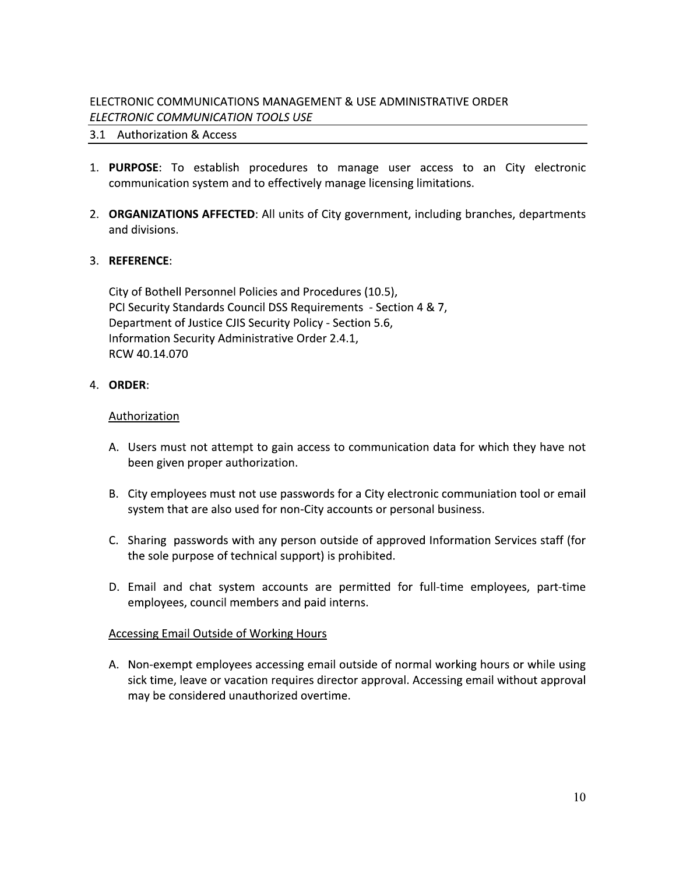# ELECTRONIC COMMUNICATIONS MANAGEMENT & USE ADMINISTRATIVE ORDER ELECTRONIC COMMUNICATION TOOLS USE

# 3.1 Authorization & Access

- 1. PURPOSE: To establish procedures to manage user access to an City electronic communication system and to effectively manage licensing limitations.
- 2. ORGANIZATIONS AFFECTED: All units of City government, including branches, departments and divisions.

# 3. REFERENCE:

City of Bothell Personnel Policies and Procedures (10.5), PCI Security Standards Council DSS Requirements - Section 4 & 7, Department of Justice CJIS Security Policy - Section 5.6, Information Security Administrative Order 2.4.1, RCW 40.14.070

# 4. ORDER:

### Authorization

- A. Users must not attempt to gain access to communication data for which they have not been given proper authorization.
- B. City employees must not use passwords for a City electronic communiation tool or email system that are also used for non-City accounts or personal business.
- C. Sharing passwords with any person outside of approved Information Services staff (for the sole purpose of technical support) is prohibited.
- D. Email and chat system accounts are permitted for full-time employees, part-time employees, council members and paid interns.

### Accessing Email Outside of Working Hours

A. Non-exempt employees accessing email outside of normal working hours or while using sick time, leave or vacation requires director approval. Accessing email without approval may be considered unauthorized overtime.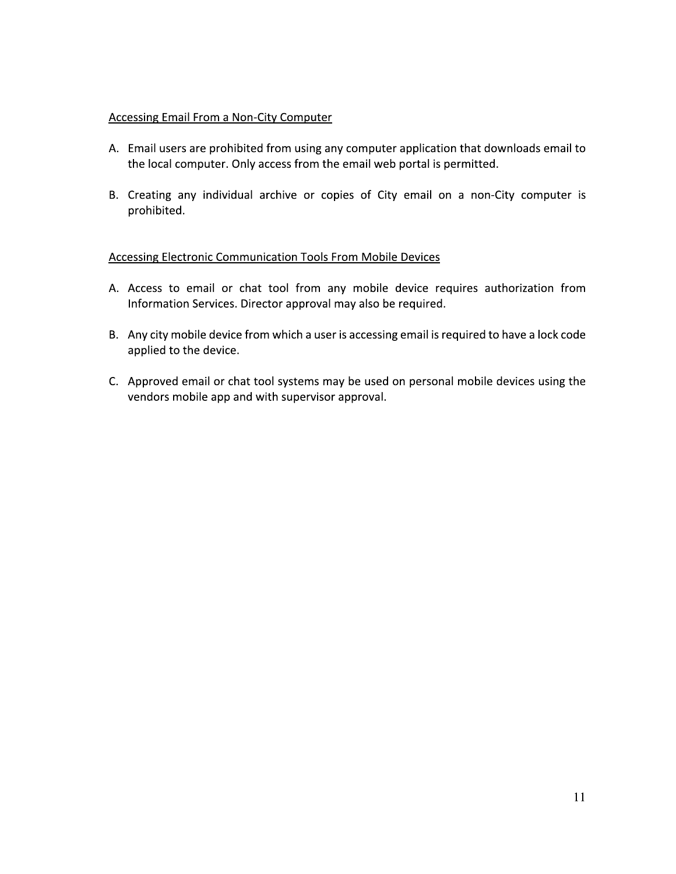# Accessing Email From a Non-City Computer

- A. Email users are prohibited from using any computer application that downloads email to the local computer. Only access from the email web portal is permitted.
- B. Creating any individual archive or copies of City email on a non-City computer is prohibited.

# Accessing Electronic Communication Tools From Mobile Devices

- A. Access to email or chat tool from any mobile device requires authorization from Information Services. Director approval may also be required.
- B. Any city mobile device from which a user is accessing email is required to have a lock code applied to the device.
- C. Approved email or chat tool systems may be used on personal mobile devices using the vendors mobile app and with supervisor approval.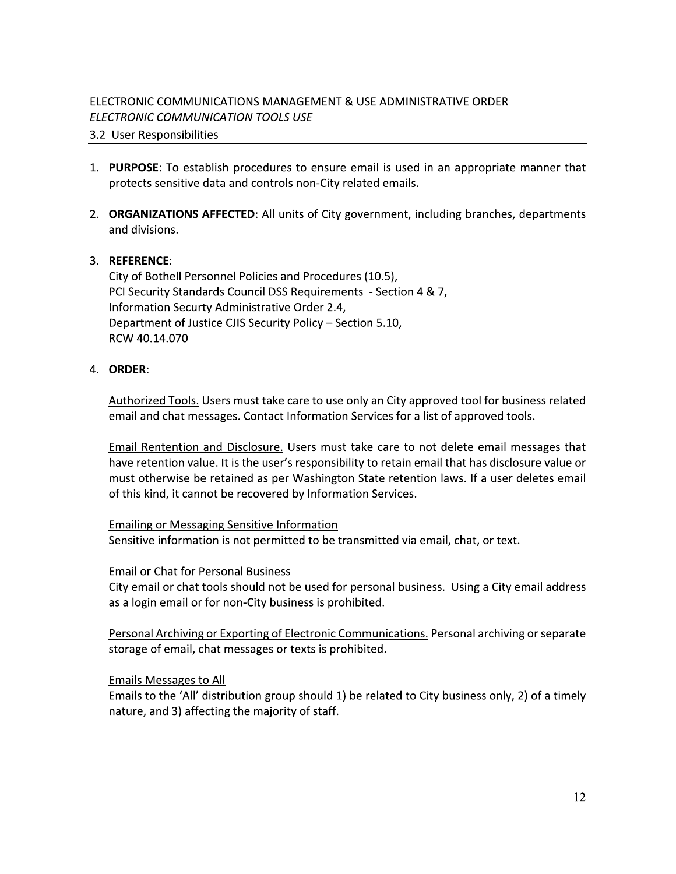# ELECTRONIC COMMUNICATIONS MANAGEMENT & USE ADMINISTRATIVE ORDER ELECTRONIC COMMUNICATION TOOLS USE

# 3.2 User Responsibilities

- 1. PURPOSE: To establish procedures to ensure email is used in an appropriate manner that protects sensitive data and controls non-City related emails.
- 2. ORGANIZATIONS AFFECTED: All units of City government, including branches, departments and divisions.

# 3. REFERENCE:

City of Bothell Personnel Policies and Procedures (10.5), PCI Security Standards Council DSS Requirements - Section 4 & 7, Information Securty Administrative Order 2.4, Department of Justice CJIS Security Policy - Section 5.10, RCW 40.14.070

# 4. ORDER:

Authorized Tools. Users must take care to use only an City approved tool for business related email and chat messages. Contact Information Services for a list of approved tools.

Email Rentention and Disclosure. Users must take care to not delete email messages that have retention value. It is the user's responsibility to retain email that has disclosure value or must otherwise be retained as per Washington State retention laws. If a user deletes email of this kind, it cannot be recovered by Information Services.

### Emailing or Messaging Sensitive Information

Sensitive information is not permitted to be transmitted via email, chat, or text.

### **Email or Chat for Personal Business**

City email or chat tools should not be used for personal business. Using a City email address as a login email or for non-City business is prohibited.

Personal Archiving or Exporting of Electronic Communications. Personal archiving or separate storage of email, chat messages or texts is prohibited.

### **Emails Messages to All**

Emails to the 'All' distribution group should 1) be related to City business only, 2) of a timely nature, and 3) affecting the majority of staff.